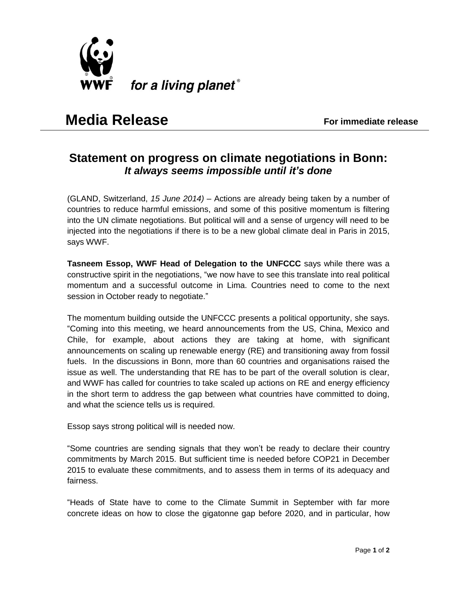

## **Media Release**<br> **Media Release**

## **Statement on progress on climate negotiations in Bonn:** *It always seems impossible until it's done*

(GLAND, Switzerland, *15 June 2014) –* Actions are already being taken by a number of countries to reduce harmful emissions, and some of this positive momentum is filtering into the UN climate negotiations. But political will and a sense of urgency will need to be injected into the negotiations if there is to be a new global climate deal in Paris in 2015, says WWF.

**Tasneem Essop, WWF Head of Delegation to the UNFCCC** says while there was a constructive spirit in the negotiations, "we now have to see this translate into real political momentum and a successful outcome in Lima. Countries need to come to the next session in October ready to negotiate."

The momentum building outside the UNFCCC presents a political opportunity, she says. "Coming into this meeting, we heard announcements from the US, China, Mexico and Chile, for example, about actions they are taking at home, with significant announcements on scaling up renewable energy (RE) and transitioning away from fossil fuels. In the discussions in Bonn, more than 60 countries and organisations raised the issue as well. The understanding that RE has to be part of the overall solution is clear, and WWF has called for countries to take scaled up actions on RE and energy efficiency in the short term to address the gap between what countries have committed to doing, and what the science tells us is required.

Essop says strong political will is needed now.

"Some countries are sending signals that they won't be ready to declare their country commitments by March 2015. But sufficient time is needed before COP21 in December 2015 to evaluate these commitments, and to assess them in terms of its adequacy and fairness.

"Heads of State have to come to the Climate Summit in September with far more concrete ideas on how to close the gigatonne gap before 2020, and in particular, how